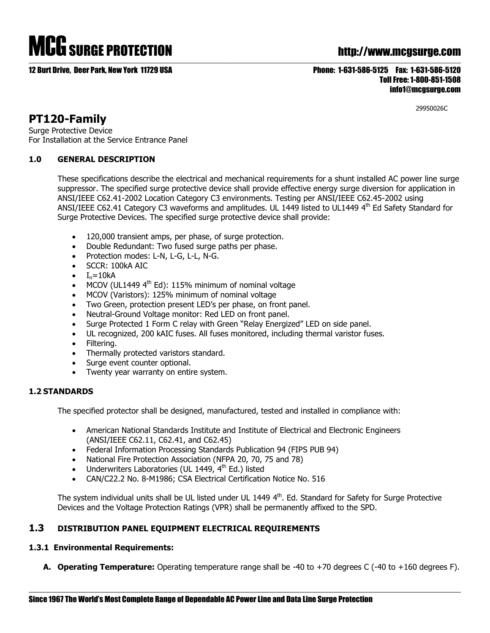# MCG SURGE PROTECTION http://www.mcgsurge.com

# 12 Burt Drive, Deer Park, New York 11729 USA Phone: 1-631-586-5125 Fax: 1-631-586-5120 Toll Free: 1-800-851-1508 info1@mcgsurge.com

29950026C

# **PT120-Family**

Surge Protective Device For Installation at the Service Entrance Panel

# **1.0 GENERAL DESCRIPTION**

These specifications describe the electrical and mechanical requirements for a shunt installed AC power line surge suppressor. The specified surge protective device shall provide effective energy surge diversion for application in ANSI/IEEE C62.41-2002 Location Category C3 environments. Testing per ANSI/IEEE C62.45-2002 using ANSI/IEEE C62.41 Category C3 waveforms and amplitudes. UL 1449 listed to UL1449 4<sup>th</sup> Ed Safety Standard for Surge Protective Devices. The specified surge protective device shall provide:

- 120,000 transient amps, per phase, of surge protection.
- Double Redundant: Two fused surge paths per phase.
- Protection modes: L-N, L-G, L-L, N-G.
- SCCR: 100kA AIC
- $I_n=10kA$
- MCOV (UL1449 4<sup>th</sup> Ed): 115% minimum of nominal voltage
- MCOV (Varistors): 125% minimum of nominal voltage
- Two Green, protection present LED's per phase, on front panel.
- Neutral-Ground Voltage monitor: Red LED on front panel.
- Surge Protected 1 Form C relay with Green "Relay Energized" LED on side panel.
- UL recognized, 200 kAIC fuses. All fuses monitored, including thermal varistor fuses.
- Filtering.
- Thermally protected varistors standard.
- Surge event counter optional.
- Twenty year warranty on entire system.

# **1.2 STANDARDS**

The specified protector shall be designed, manufactured, tested and installed in compliance with:

- American National Standards Institute and Institute of Electrical and Electronic Engineers (ANSI/IEEE C62.11, C62.41, and C62.45)
- Federal Information Processing Standards Publication 94 (FIPS PUB 94)
- National Fire Protection Association (NFPA 20, 70, 75 and 78)
- Underwriters Laboratories (UL 1449,  $4<sup>th</sup>$  Ed.) listed
- CAN/C22.2 No. 8-M1986; CSA Electrical Certification Notice No. 516

The system individual units shall be UL listed under UL 1449 4<sup>th</sup>. Ed. Standard for Safety for Surge Protective Devices and the Voltage Protection Ratings (VPR) shall be permanently affixed to the SPD.

# **1.3 DISTRIBUTION PANEL EQUIPMENT ELECTRICAL REQUIREMENTS**

# **1.3.1 Environmental Requirements:**

**A. Operating Temperature:** Operating temperature range shall be -40 to +70 degrees C (-40 to +160 degrees F).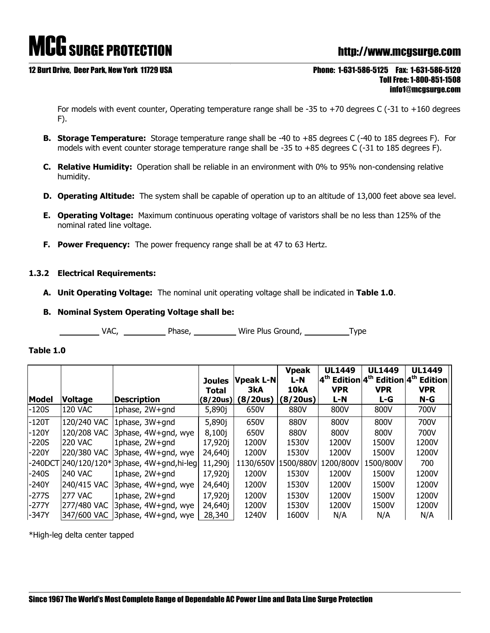# MCG SURGE PROTECTION http://www.mcgsurge.com

### 12 Burt Drive, Deer Park, New York 11729 USA Phone: 1-631-586-5125 Fax: 1-631-586-5120

# Toll Free: 1-800-851-1508 info1@mcgsurge.com

For models with event counter, Operating temperature range shall be -35 to  $+70$  degrees C (-31 to  $+160$  degrees F).

- **B. Storage Temperature:** Storage temperature range shall be -40 to +85 degrees C (-40 to 185 degrees F). For models with event counter storage temperature range shall be -35 to +85 degrees C (-31 to 185 degrees F).
- **C. Relative Humidity:** Operation shall be reliable in an environment with 0% to 95% non-condensing relative humidity.
- **D. Operating Altitude:** The system shall be capable of operation up to an altitude of 13,000 feet above sea level.
- **E. Operating Voltage:** Maximum continuous operating voltage of varistors shall be no less than 125% of the nominal rated line voltage.
- **F. Power Frequency:** The power frequency range shall be at 47 to 63 Hertz.

# **1.3.2 Electrical Requirements:**

- **A. Unit Operating Voltage:** The nominal unit operating voltage shall be indicated in **Table 1.0**.
- **B. Nominal System Operating Voltage shall be:**

VAC, Phase, Wire Plus Ground, Type

## **Table 1.0**

|              |                |                                             | <b>Joules</b>            | <b>Vpeak L-N</b> | <b>Vpeak</b><br>L-N | <b>UL1449</b>     | <b>UL1449</b>     | <b>UL1449</b><br>4 <sup>th</sup> Edition 4 <sup>th</sup> Edition 4 <sup>th</sup> Edition |
|--------------|----------------|---------------------------------------------|--------------------------|------------------|---------------------|-------------------|-------------------|------------------------------------------------------------------------------------------|
| <b>Model</b> | <b>Voltage</b> | <b>Description</b>                          | <b>Total</b><br>(8/20us) | 3kA<br>(8/20us)  | 10kA<br>(8/20us)    | <b>VPR</b><br>L-N | <b>VPR</b><br>L-G | <b>VPR</b><br>N-G                                                                        |
| $-120S$      | <b>120 VAC</b> | 1phase, 2W+gnd                              | 5,890j                   | 650V             | 880V                | 800V              | 800V              | 700V                                                                                     |
| $-120T$      | 120/240 VAC    | 1phase, 3W+gnd                              | 5,890j                   | 650V             | 880V                | 800V              | 800V              | 700V                                                                                     |
| $-120Y$      | 120/208 VAC    | 3phase, 4W+gnd, wye                         | 8,100j                   | 650V             | 880V                | 800V              | 800V              | 700V                                                                                     |
| $-220S$      | <b>220 VAC</b> | 1phase, 2W+qnd                              | 17,920j                  | 1200V            | 1530V               | 1200V             | 1500V             | 1200V                                                                                    |
| $-220Y$      | 220/380 VAC    | 3phase, 4W+gnd, wye                         | 24,640 <sub>1</sub>      | 1200V            | 1530V               | 1200V             | 1500V             | 1200V                                                                                    |
|              |                | -240DCT 240/120/120* 3phase, 4W+gnd, hi-leg | 11,290j                  | 1130/650V        | 1500/880V           | 1200/800V         | 1500/800V         | 700                                                                                      |
| $-240S$      | <b>240 VAC</b> | 1phase, 2W+gnd                              | 17,920j                  | 1200V            | 1530V               | 1200V             | 1500V             | 1200V                                                                                    |
| $-240Y$      | 240/415 VAC    | 3phase, 4W+gnd, wye                         | 24,640 <sub>1</sub>      | 1200V            | 1530V               | 1200V             | 1500V             | 1200V                                                                                    |
| $-277S$      | <b>277 VAC</b> | 1phase, 2W+qnd                              | 17,920j                  | 1200V            | 1530V               | 1200V             | 1500V             | 1200V                                                                                    |
| $-277Y$      | 277/480 VAC    | 3phase, 4W+gnd, wye                         | 24,640 <sub>1</sub>      | 1200V            | 1530V               | 1200V             | 1500V             | 1200V                                                                                    |
| -347Y        | 347/600 VAC    | 3phase, 4W+gnd, wye                         | 28,340                   | 1240V            | 1600V               | N/A               | N/A               | N/A                                                                                      |

\*High-leg delta center tapped